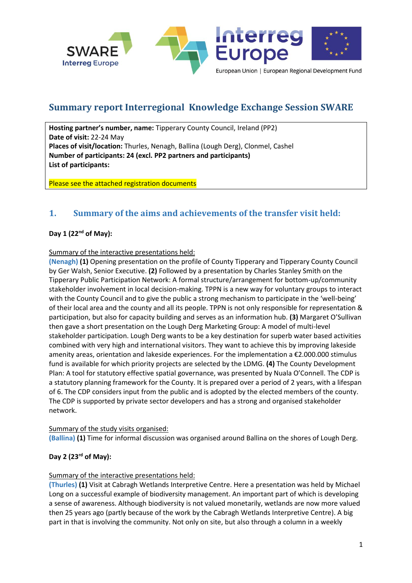

# **Summary report Interregional Knowledge Exchange Session SWARE**

**Hosting partner's number, name:** Tipperary County Council, Ireland (PP2) **Date of visit:** 22-24 May **Places of visit/location:** Thurles, Nenagh, Ballina (Lough Derg), Clonmel, Cashel **Number of participants: 24 (excl. PP2 partners and participants) List of participants:** 

Please see the attached registration documents

## **1. Summary of the aims and achievements of the transfer visit held:**

## **Day 1 (22nd of May):**

## Summary of the interactive presentations held:

**(Nenagh) (1)** Opening presentation on the profile of County Tipperary and Tipperary County Council by Ger Walsh, Senior Executive. **(2)** Followed by a presentation by Charles Stanley Smith on the Tipperary Public Participation Network: A formal structure/arrangement for bottom-up/community stakeholder involvement in local decision-making. TPPN is a new way for voluntary groups to interact with the County Council and to give the public a strong mechanism to participate in the 'well-being' of their local area and the county and all its people. TPPN is not only responsible for representation & participation, but also for capacity building and serves as an information hub. **(3)** Margaret O'Sullivan then gave a short presentation on the Lough Derg Marketing Group: A model of multi-level stakeholder participation. Lough Derg wants to be a key destination for superb water based activities combined with very high and international visitors. They want to achieve this by improving lakeside amenity areas, orientation and lakeside experiences. For the implementation a €2.000.000 stimulus fund is available for which priority projects are selected by the LDMG. **(4)** The County Development Plan: A tool for statutory effective spatial governance, was presented by Nuala O'Connell. The CDP is a statutory planning framework for the County. It is prepared over a period of 2 years, with a lifespan of 6. The CDP considers input from the public and is adopted by the elected members of the county. The CDP is supported by private sector developers and has a strong and organised stakeholder network.

## Summary of the study visits organised:

**(Ballina) (1)** Time for informal discussion was organised around Ballina on the shores of Lough Derg.

## **Day 2 (23rd of May):**

## Summary of the interactive presentations held:

**(Thurles) (1)** Visit at Cabragh Wetlands Interpretive Centre. Here a presentation was held by Michael Long on a successful example of biodiversity management. An important part of which is developing a sense of awareness. Although biodiversity is not valued monetarily, wetlands are now more valued then 25 years ago (partly because of the work by the Cabragh Wetlands Interpretive Centre). A big part in that is involving the community. Not only on site, but also through a column in a weekly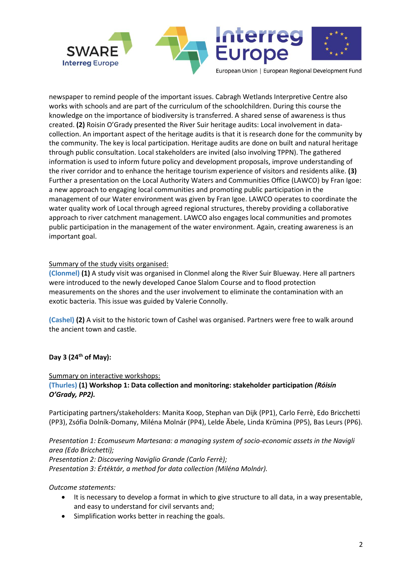

newspaper to remind people of the important issues. Cabragh Wetlands Interpretive Centre also works with schools and are part of the curriculum of the schoolchildren. During this course the knowledge on the importance of biodiversity is transferred. A shared sense of awareness is thus created. **(2)** Roisin O'Grady presented the River Suir heritage audits: Local involvement in datacollection. An important aspect of the heritage audits is that it is research done for the community by the community. The key is local participation. Heritage audits are done on built and natural heritage through public consultation. Local stakeholders are invited (also involving TPPN). The gathered information is used to inform future policy and development proposals, improve understanding of the river corridor and to enhance the heritage tourism experience of visitors and residents alike. **(3)**  Further a presentation on the Local Authority Waters and Communities Office (LAWCO) by Fran Igoe: a new approach to engaging local communities and promoting public participation in the management of our Water environment was given by Fran Igoe. LAWCO operates to coordinate the water quality work of Local through agreed regional structures, thereby providing a collaborative approach to river catchment management. LAWCO also engages local communities and promotes public participation in the management of the water environment. Again, creating awareness is an important goal.

#### Summary of the study visits organised:

**(Clonmel) (1)** A study visit was organised in Clonmel along the River Suir Blueway. Here all partners were introduced to the newly developed Canoe Slalom Course and to flood protection measurements on the shores and the user involvement to eliminate the contamination with an exotic bacteria. This issue was guided by Valerie Connolly.

**(Cashel) (2)** A visit to the historic town of Cashel was organised. Partners were free to walk around the ancient town and castle.

## **Day 3 (24th of May):**

#### Summary on interactive workshops:

**(Thurles) (1) Workshop 1: Data collection and monitoring: stakeholder participation** *(Róisín O'Grady, PP2).* 

Participating partners/stakeholders: Manita Koop, Stephan van Dijk (PP1), Carlo Ferrè, Edo Bricchetti (PP3), Zsófia Dolník-Domany, Miléna Molnár (PP4), Lelde Ãbele, Linda Krūmina (PP5), Bas Leurs (PP6).

*Presentation 1: Ecomuseum Martesana: a managing system of socio-economic assets in the Navigli area (Edo Bricchetti); Presentation 2: Discovering Naviglio Grande (Carlo Ferrè); Presentation 3: Értéktár, a method for data collection (Miléna Molnár).* 

#### *Outcome statements:*

- It is necessary to develop a format in which to give structure to all data, in a way presentable, and easy to understand for civil servants and;
- Simplification works better in reaching the goals.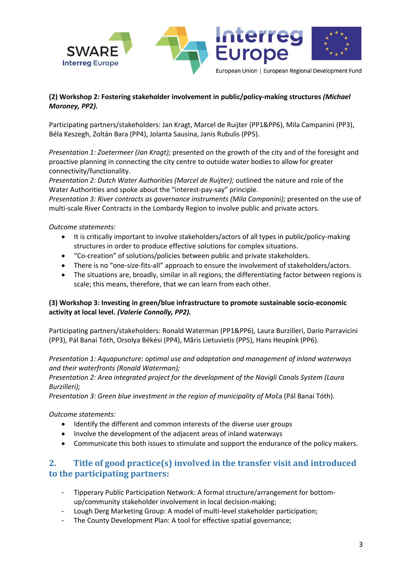

## **(2) Workshop 2: Fostering stakeholder involvement in public/policy-making structures** *(Michael Moroney, PP2).*

Participating partners/stakeholders: Jan Kragt, Marcel de Ruijter (PP1&PP6), Mila Campanini (PP3), Béla Keszegh, Zoltán Bara (PP4), Jolanta Sausina, Janis Rubulis (PP5).

*Presentation 1: Zoetermeer (Jan Kragt);* presented on the growth of the city and of the foresight and proactive planning in connecting the city centre to outside water bodies to allow for greater connectivity/functionality.

*Presentation 2: Dutch Water Authorities (Marcel de Ruijter);* outlined the nature and role of the Water Authorities and spoke about the "interest-pay-say" principle.

*Presentation 3: River contracts as governance instruments (Mila Campanini);* presented on the use of multi-scale River Contracts in the Lombardy Region to involve public and private actors.

*Outcome statements:* 

- It is critically important to involve stakeholders/actors of all types in public/policy-making structures in order to produce effective solutions for complex situations.
- "Co-creation" of solutions/policies between public and private stakeholders.
- There is no "one-size-fits-all" approach to ensure the involvement of stakeholders/actors.
- The situations are, broadly, similar in all regions; the differentiating factor between regions is scale; this means, therefore, that we can learn from each other.

## **(3) Workshop 3: Investing in green/blue infrastructure to promote sustainable socio-economic activity at local level.** *(Valerie Connolly, PP2).*

Participating partners/stakeholders: Ronald Waterman (PP1&PP6), Laura Burzilleri, Dario Parravicini (PP3), Pál Banai Tóth, Orsolya Békési (PP4), Mãris Lietuvietis (PP5), Hans Heupink (PP6).

*Presentation 1: Aquapuncture: optimal use and adaptation and management of inland waterways and their waterfronts (Ronald Waterman);* 

*Presentation 2: Area integrated project for the development of the Navigli Canals System (Laura Burzilleri);* 

*Presentation 3: Green blue investment in the region of municipality of Mo*ča (Pál Banai Tóth).

*Outcome statements:* 

- Identify the different and common interests of the diverse user groups
- Involve the development of the adjacent areas of inland waterways
- Communicate this both issues to stimulate and support the endurance of the policy makers.

## **2. Title of good practice(s) involved in the transfer visit and introduced to the participating partners:**

- Tipperary Public Participation Network: A formal structure/arrangement for bottomup/community stakeholder involvement in local decision-making;
- Lough Derg Marketing Group: A model of multi-level stakeholder participation;
- The County Development Plan: A tool for effective spatial governance;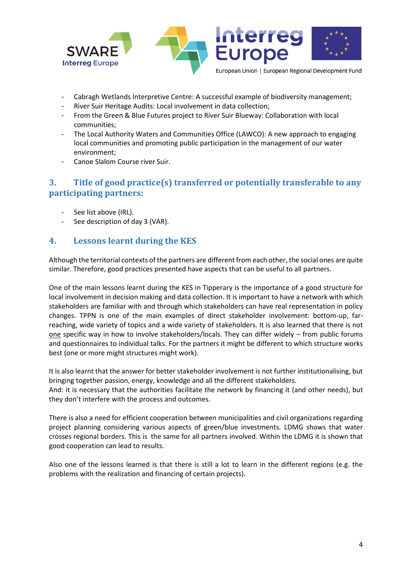

- Cabragh Wetlands Interpretive Centre: A successful example of biodiversity management;
- River Suir Heritage Audits: Local involvement in data collection;
- From the Green & Blue Futures project to River Suir Blueway: Collaboration with local communities;
- The Local Authority Waters and Communities Office (LAWCO): A new approach to engaging local communities and promoting public participation in the management of our water environment;
- Canoe Slalom Course river Suir.

## **3. Title of good practice(s) transferred or potentially transferable to any participating partners:**

- See list above (IRL).
- See description of day 3 (VAR).

## **4. Lessons learnt during the KES**

Although the territorial contexts of the partners are different from each other, the social ones are quite similar. Therefore, good practices presented have aspects that can be useful to all partners.

One of the main lessons learnt during the KES in Tipperary is the importance of a good structure for local involvement in decision making and data collection. It is important to have a network with which stakeholders are familiar with and through which stakeholders can have real representation in policy changes. TPPN is one of the main examples of direct stakeholder involvement: bottom-up, farreaching, wide variety of topics and a wide variety of stakeholders. It is also learned that there is not one specific way in how to involve stakeholders/locals. They can differ widely – from public forums and questionnaires to individual talks. For the partners it might be different to which structure works best (one or more might structures might work).

It is also learnt that the answer for better stakeholder involvement is not further institutionalising, but bringing together passion, energy, knowledge and all the different stakeholders.

And: it is necessary that the authorities facilitate the network by financing it (and other needs), but they don't interfere with the process and outcomes.

There is also a need for efficient cooperation between municipalities and civil organizations regarding project planning considering various aspects of green/blue investments. LDMG shows that water crosses regional borders. This is the same for all partners involved. Within the LDMG it is shown that good cooperation can lead to results.

Also one of the lessons learned is that there is still a lot to learn in the different regions (e.g. the problems with the realization and financing of certain projects).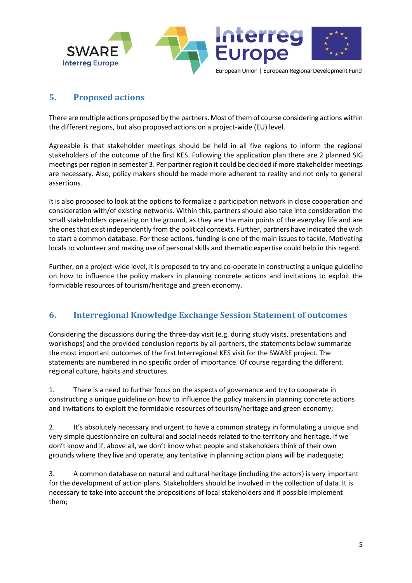

## **5. Proposed actions**

There are multiple actions proposed by the partners. Most of them of course considering actions within the different regions, but also proposed actions on a project-wide (EU) level.

Agreeable is that stakeholder meetings should be held in all five regions to inform the regional stakeholders of the outcome of the first KES. Following the application plan there are 2 planned SIG meetings per region in semester 3. Per partner region it could be decided if more stakeholder meetings are necessary. Also, policy makers should be made more adherent to reality and not only to general assertions.

It is also proposed to look at the options to formalize a participation network in close cooperation and consideration with/of existing networks. Within this, partners should also take into consideration the small stakeholders operating on the ground, as they are the main points of the everyday life and are the ones that exist independently from the political contexts. Further, partners have indicated the wish to start a common database. For these actions, funding is one of the main issues to tackle. Motivating locals to volunteer and making use of personal skills and thematic expertise could help in this regard.

Further, on a project-wide level, it is proposed to try and co-operate in constructing a unique guideline on how to influence the policy makers in planning concrete actions and invitations to exploit the formidable resources of tourism/heritage and green economy.

## **6. Interregional Knowledge Exchange Session Statement of outcomes**

Considering the discussions during the three-day visit (e.g. during study visits, presentations and workshops) and the provided conclusion reports by all partners, the statements below summarize the most important outcomes of the first Interregional KES visit for the SWARE project. The statements are numbered in no specific order of importance. Of course regarding the different. regional culture, habits and structures.

1. There is a need to further focus on the aspects of governance and try to cooperate in constructing a unique guideline on how to influence the policy makers in planning concrete actions and invitations to exploit the formidable resources of tourism/heritage and green economy;

2. It's absolutely necessary and urgent to have a common strategy in formulating a unique and very simple questionnaire on cultural and social needs related to the territory and heritage. If we don't know and if, above all, we don't know what people and stakeholders think of their own grounds where they live and operate, any tentative in planning action plans will be inadequate;

3. A common database on natural and cultural heritage (including the actors) is very important for the development of action plans. Stakeholders should be involved in the collection of data. It is necessary to take into account the propositions of local stakeholders and if possible implement them;